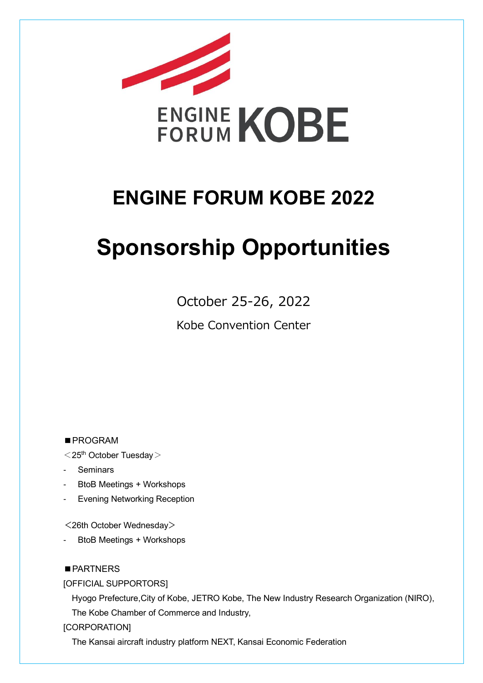

# **ENGINE FORUM KOBE 2022**

# **Sponsorship Opportunities**

October 25-26, 2022

Kobe Convention Center

■PROGRAM

 $1$   $<$  25<sup>th</sup> October Tuesday  $>$ 

- **Seminars**
- BtoB Meetings + Workshops
- Evening Networking Reception

<26th October Wednesday>

- BtoB Meetings + Workshops

### ■ PARTNERS

[OFFICIAL SUPPORTORS]

Hyogo Prefecture,City of Kobe, JETRO Kobe, The New Industry Research Organization (NIRO), The Kobe Chamber of Commerce and Industry,

[CORPORATION]

The Kansai aircraft industry platform NEXT, Kansai Economic Federation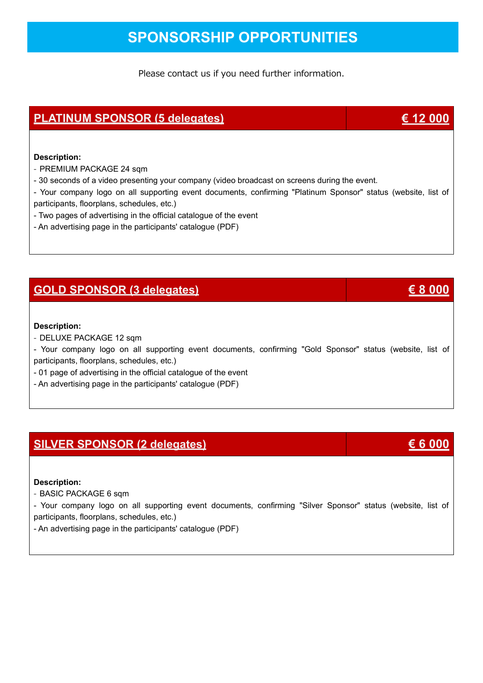## **SPONSORSHIP OPPORTUNITIES**

Please contact us if you need further information.

### **PLATINUM SPONSOR (5 delegates) € 12 000**

### **Description:**

- PREMIUM PACKAGE 24 sqm
- 30 seconds of a video presenting your company (video broadcast on screens during the event.
- Your company logo on all supporting event documents, confirming "Platinum Sponsor" status (website, list of participants, floorplans, schedules, etc.)
- Two pages of advertising in the official catalogue of the event
- An advertising page in the participants' catalogue (PDF)

### **GOLD SPONSOR (3 delegates) € 8 000**

### **Description:**

- DELUXE PACKAGE 12 sqm

- Your company logo on all supporting event documents, confirming "Gold Sponsor" status (website, list of participants, floorplans, schedules, etc.)

- 01 page of advertising in the official catalogue of the event
- An advertising page in the participants' catalogue (PDF)

### **SILVER SPONSOR (2 delegates) € 6 000**

### **Description:**

- BASIC PACKAGE 6 sqm

- Your company logo on all supporting event documents, confirming "Silver Sponsor" status (website, list of participants, floorplans, schedules, etc.)

- An advertising page in the participants' catalogue (PDF)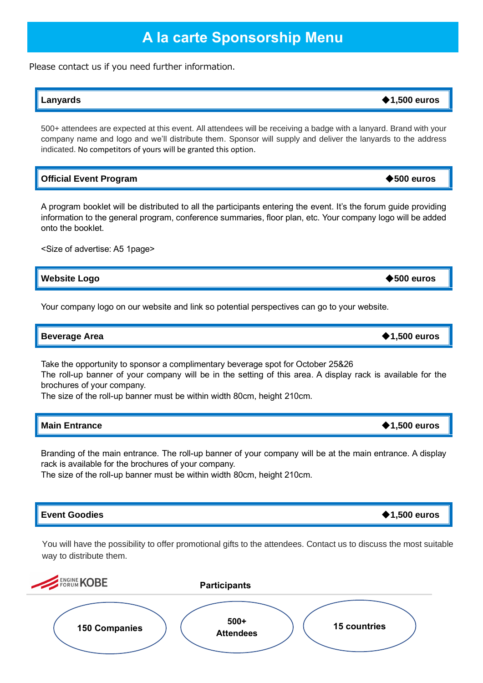## **A la carte Sponsorship Menu**

Please contact us if you need further information.

### **Lanyards** ◆**1,500 euros**

500+ attendees are expected at this event. All attendees will be receiving a badge with a lanyard. Brand with your company name and logo and we'll distribute them. Sponsor will supply and deliver the lanyards to the address indicated. No competitors of yours will be granted this option.

### **Official Event Program** ◆**500 euros**

A program booklet will be distributed to all the participants entering the event. It's the forum guide providing information to the general program, conference summaries, floor plan, etc. Your company logo will be added onto the booklet.

<Size of advertise: A5 1page>

**Website Logo** ◆**500 euros**

Your company logo on our website and link so potential perspectives can go to your website.

**Beverage Area** → **1,500 euros** 

Take the opportunity to sponsor a complimentary beverage spot for October 25&26

The roll-up banner of your company will be in the setting of this area. A display rack is available for the brochures of your company.

The size of the roll-up banner must be within width 80cm, height 210cm.

| <b>Main Entrance</b> | $\blacklozenge$ 1,500 euros |
|----------------------|-----------------------------|
|                      |                             |

Branding of the main entrance. The roll-up banner of your company will be at the main entrance. A display rack is available for the brochures of your company.

The size of the roll-up banner must be within width 80cm, height 210cm.

### **Event Goodies** ◆**1,500 euros**

You will have the possibility to offer promotional gifts to the attendees. Contact us to discuss the most suitable way to distribute them.

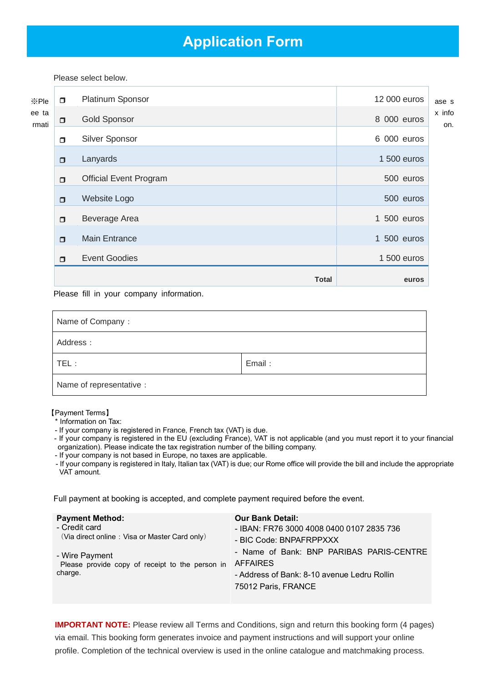## **Application Form**

Please select below.

|                |        | <b>Total</b>                  | euros                     |               |
|----------------|--------|-------------------------------|---------------------------|---------------|
|                | $\Box$ | <b>Event Goodies</b>          | 1 500 euros               |               |
|                | $\Box$ | <b>Main Entrance</b>          | $\mathbf{1}$<br>500 euros |               |
|                | $\Box$ | Beverage Area                 | 1 500 euros               |               |
|                | $\Box$ | Website Logo                  | 500 euros                 |               |
|                | $\Box$ | <b>Official Event Program</b> | 500 euros                 |               |
|                | $\Box$ | Lanyards                      | 1 500 euros               |               |
| ee ta<br>rmati | $\Box$ | Silver Sponsor                | 6 000 euros               |               |
|                | $\Box$ | <b>Gold Sponsor</b>           | 8 000 euros               | x infc<br>on. |
| ※Ple           | $\Box$ | Platinum Sponsor              | 12 000 euros              | ase s         |

Please fill in your company information.

| Name of Company:         |        |  |  |  |
|--------------------------|--------|--|--|--|
| Address:                 |        |  |  |  |
| $TEL$ :                  | Email: |  |  |  |
| Name of representative : |        |  |  |  |

### 【Payment Terms】

- \* Information on Tax:
- If your company is registered in France, French tax (VAT) is due.
- If your company is registered in the EU (excluding France), VAT is not applicable (and you must report it to your financial organization). Please indicate the tax registration number of the billing company.
- If your company is not based in Europe, no taxes are applicable.
- If your company is registered in Italy, Italian tax (VAT) is due; our Rome office will provide the bill and include the appropriate VAT amount.

Full payment at booking is accepted, and complete payment required before the event.

| <b>Payment Method:</b>                          | <b>Our Bank Detail:</b>                     |
|-------------------------------------------------|---------------------------------------------|
| - Credit card                                   | - IBAN: FR76 3000 4008 0400 0107 2835 736   |
| (Via direct online: Visa or Master Card only)   | - BIC Code: BNPAFRPPXXX                     |
| - Wire Payment                                  | - Name of Bank: BNP PARIBAS PARIS-CENTRE    |
| Please provide copy of receipt to the person in | <b>AFFAIRES</b>                             |
| charge.                                         | - Address of Bank: 8-10 avenue Ledru Rollin |
|                                                 | 75012 Paris, FRANCE                         |

**IMPORTANT NOTE:** Please review all Terms and Conditions, sign and return this booking form (4 pages) via email. This booking form generates invoice and payment instructions and will support your online profile. Completion of the technical overview is used in the online catalogue and matchmaking process.